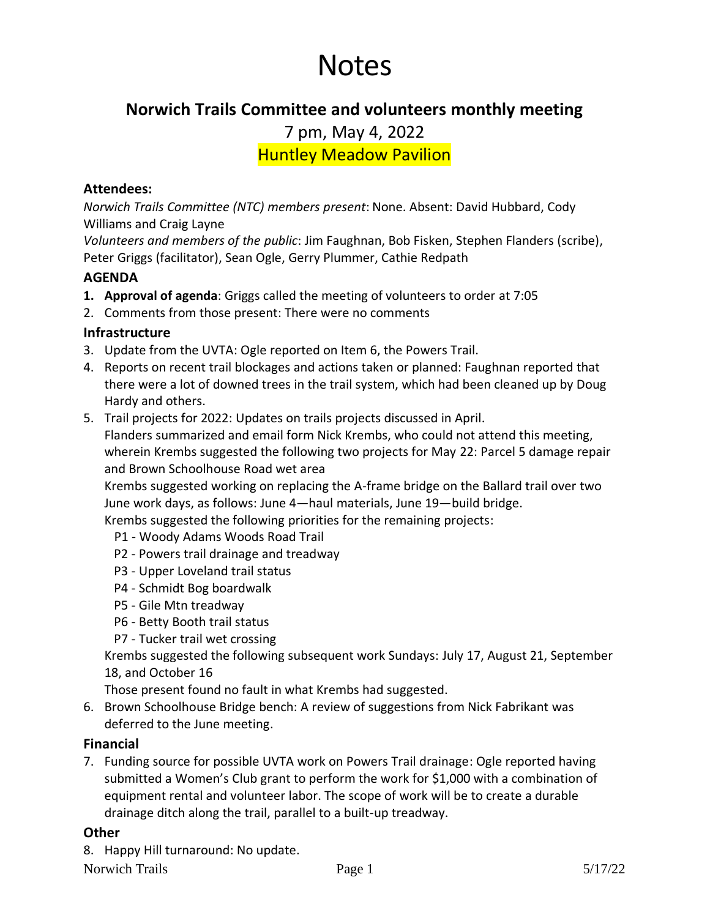# Notes

# **Norwich Trails Committee and volunteers monthly meeting**

7 pm, May 4, 2022

Huntley Meadow Pavilion

## **Attendees:**

*Norwich Trails Committee (NTC) members present*: None. Absent: David Hubbard, Cody Williams and Craig Layne

*Volunteers and members of the public*: Jim Faughnan, Bob Fisken, Stephen Flanders (scribe), Peter Griggs (facilitator), Sean Ogle, Gerry Plummer, Cathie Redpath

### **AGENDA**

- **1. Approval of agenda**: Griggs called the meeting of volunteers to order at 7:05
- 2. Comments from those present: There were no comments

### **Infrastructure**

- 3. Update from the UVTA: Ogle reported on Item 6, the Powers Trail.
- 4. Reports on recent trail blockages and actions taken or planned: Faughnan reported that there were a lot of downed trees in the trail system, which had been cleaned up by Doug Hardy and others.
- 5. Trail projects for 2022: Updates on trails projects discussed in April. Flanders summarized and email form Nick Krembs, who could not attend this meeting, wherein Krembs suggested the following two projects for May 22: Parcel 5 damage repair and Brown Schoolhouse Road wet area

Krembs suggested working on replacing the A-frame bridge on the Ballard trail over two June work days, as follows: June 4—haul materials, June 19—build bridge.

Krembs suggested the following priorities for the remaining projects:

- P1 Woody Adams Woods Road Trail
- P2 Powers trail drainage and treadway
- P3 Upper Loveland trail status
- P4 Schmidt Bog boardwalk
- P5 Gile Mtn treadway
- P6 Betty Booth trail status
- P7 Tucker trail wet crossing

Krembs suggested the following subsequent work Sundays: July 17, August 21, September 18, and October 16

Those present found no fault in what Krembs had suggested.

6. Brown Schoolhouse Bridge bench: A review of suggestions from Nick Fabrikant was deferred to the June meeting.

#### **Financial**

7. Funding source for possible UVTA work on Powers Trail drainage: Ogle reported having submitted a Women's Club grant to perform the work for \$1,000 with a combination of equipment rental and volunteer labor. The scope of work will be to create a durable drainage ditch along the trail, parallel to a built-up treadway.

#### **Other**

8. Happy Hill turnaround: No update.

Norwich Trails Page 1 5/17/22